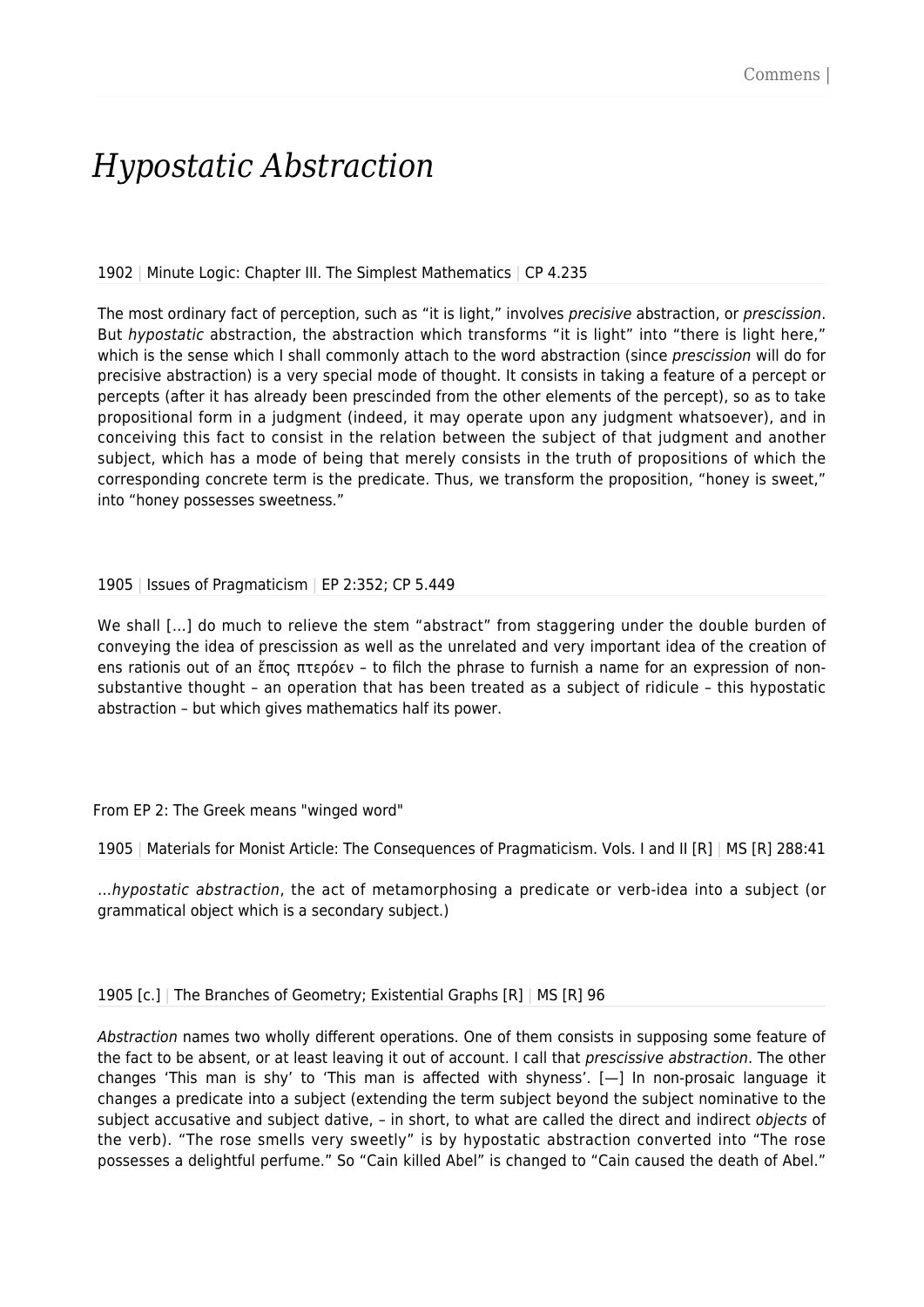# *Hypostatic Abstraction*

### 1902 | Minute Logic: Chapter III. The Simplest Mathematics | CP 4.235

The most ordinary fact of perception, such as "it is light," involves precisive abstraction, or prescission. But hypostatic abstraction, the abstraction which transforms "it is light" into "there is light here," which is the sense which I shall commonly attach to the word abstraction (since prescission will do for precisive abstraction) is a very special mode of thought. It consists in taking a feature of a percept or percepts (after it has already been prescinded from the other elements of the percept), so as to take propositional form in a judgment (indeed, it may operate upon any judgment whatsoever), and in conceiving this fact to consist in the relation between the subject of that judgment and another subject, which has a mode of being that merely consists in the truth of propositions of which the corresponding concrete term is the predicate. Thus, we transform the proposition, "honey is sweet," into "honey possesses sweetness."

### 1905 | Issues of Pragmaticism | EP 2:352; CP 5.449

We shall [...] do much to relieve the stem "abstract" from staggering under the double burden of conveying the idea of prescission as well as the unrelated and very important idea of the creation of ens rationis out of an ἔπος πτερόεν – to filch the phrase to furnish a name for an expression of nonsubstantive thought – an operation that has been treated as a subject of ridicule – this hypostatic abstraction – but which gives mathematics half its power.

### From EP 2: The Greek means "winged word"

1905 | Materials for Monist Article: The Consequences of Pragmaticism. Vols. I and II [R] | MS [R] 288:41

…hypostatic abstraction, the act of metamorphosing a predicate or verb-idea into a subject (or grammatical object which is a secondary subject.)

1905 [c.] | The Branches of Geometry; Existential Graphs [R] | MS [R] 96

Abstraction names two wholly different operations. One of them consists in supposing some feature of the fact to be absent, or at least leaving it out of account. I call that *prescissive abstraction*. The other changes 'This man is shy' to 'This man is affected with shyness'. [—] In non-prosaic language it changes a predicate into a subject (extending the term subject beyond the subject nominative to the subject accusative and subject dative, – in short, to what are called the direct and indirect objects of the verb). "The rose smells very sweetly" is by hypostatic abstraction converted into "The rose possesses a delightful perfume." So "Cain killed Abel" is changed to "Cain caused the death of Abel."